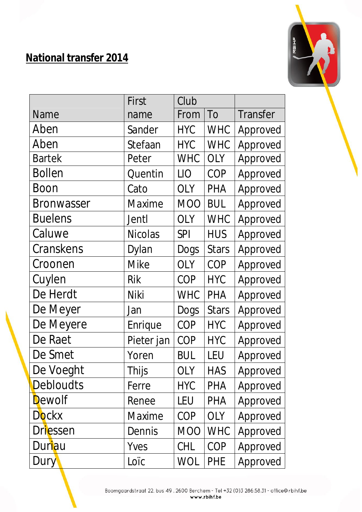## **National transfer 2014**



|                   | First          | Club        |              |                 |
|-------------------|----------------|-------------|--------------|-----------------|
| <b>Name</b>       | name           | From        | To           | <b>Transfer</b> |
| Aben              | Sander         | <b>HYC</b>  | <b>WHC</b>   | Approved        |
| Aben              | Stefaan        | <b>HYC</b>  | <b>WHC</b>   | Approved        |
| <b>Bartek</b>     | Peter          | <b>WHC</b>  | <b>OLY</b>   | Approved        |
| <b>Bollen</b>     | Quentin        | <b>LIO</b>  | COP          | Approved        |
| Boon              | Cato           | <b>OLY</b>  | <b>PHA</b>   | Approved        |
| <b>Bronwasser</b> | <b>Maxime</b>  | <b>MOO</b>  | <b>BUL</b>   | Approved        |
| <b>Buelens</b>    | Jentl          | <b>OLY</b>  | <b>WHC</b>   | Approved        |
| Caluwe            | <b>Nicolas</b> | <b>SPI</b>  | <b>HUS</b>   | Approved        |
| Cranskens         | Dylan          | <b>Dogs</b> | <b>Stars</b> | Approved        |
| Croonen           | <b>Mike</b>    | <b>OLY</b>  | <b>COP</b>   | Approved        |
| Cuylen            | Rik            | <b>COP</b>  | <b>HYC</b>   | Approved        |
| De Herdt          | Niki           | <b>WHC</b>  | <b>PHA</b>   | Approved        |
| De Meyer          | Jan            | <b>Dogs</b> | <b>Stars</b> | Approved        |
| De Meyere         | Enrique        | <b>COP</b>  | <b>HYC</b>   | Approved        |
| De Raet           | Pieter jan     | <b>COP</b>  | <b>HYC</b>   | Approved        |
| De Smet           | Yoren          | <b>BUL</b>  | LEU          | Approved        |
| De Voeght         | Thijs          | <b>OLY</b>  | <b>HAS</b>   | Approved        |
| <b>Debloudts</b>  | Ferre          | <b>HYC</b>  | PHA          | Approved        |
| Dewolf            | Renee          | LEU         | PHA          | Approved        |
| <b>Dockx</b>      | <b>Maxime</b>  | COP         | <b>OLY</b>   | Approved        |
| <b>Driessen</b>   | Dennis         | <b>MOO</b>  | <b>WHC</b>   | Approved        |
| Duriau            | Yves           | CHL         | COP          | Approved        |
| Dury              | Loïc           | <b>WOL</b>  | <b>PHE</b>   | Approved        |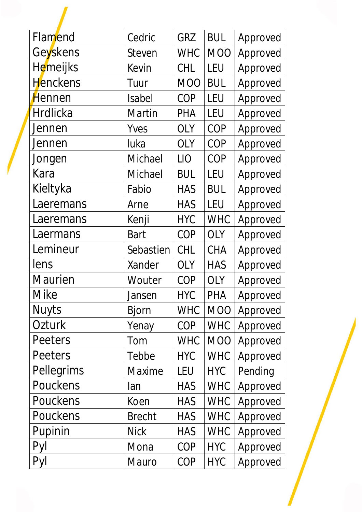| Flamend         | Cedric        | <b>GRZ</b>      | <b>BUL</b>       | Approved |
|-----------------|---------------|-----------------|------------------|----------|
| Geyskens        | Steven        | <b>WHC</b>      | <b>MOO</b>       | Approved |
| <b>Hemeijks</b> | Kevin         | <b>CHL</b>      | LEU              | Approved |
| <b>Henckens</b> | Tuur          | <b>MOO</b>      | <b>BUL</b>       | Approved |
| Hennen          | <b>Isabel</b> | COP             | LEU              | Approved |
| <b>Hrdlicka</b> | <b>Martin</b> | <b>PHA</b>      | LEU              | Approved |
| Jennen          | Yves          | <b>OLY</b>      | COP              | Approved |
| Jennen          | luka          | <b>OLY</b>      | COP              | Approved |
| Jongen          | Michael       | LI <sub>O</sub> | COP              | Approved |
| Kara            | Michael       | <b>BUL</b>      | LEU              | Approved |
| Kieltyka        | Fabio         | <b>HAS</b>      | <b>BUL</b>       | Approved |
| Laeremans       | Arne          | <b>HAS</b>      | LEU              | Approved |
| Laeremans       | Kenji         | <b>HYC</b>      | <b>WHC</b>       | Approved |
| Laermans        | <b>Bart</b>   | <b>COP</b>      | <b>OLY</b>       | Approved |
| Lemineur        | Sebastien     | <b>CHL</b>      | <b>CHA</b>       | Approved |
| lens            | Xander        | <b>OLY</b>      | <b>HAS</b>       | Approved |
| <b>Maurien</b>  | Wouter        | COP             | <b>OLY</b>       | Approved |
| <b>Mike</b>     | Jansen        | <b>HYC</b>      | PHA              | Approved |
| <b>Nuyts</b>    | <b>Bjorn</b>  | <b>WHC</b>      | <b>MOO</b>       | Approved |
| Ozturk          | Yenay         | COP             | <b>WHC</b>       | Approved |
| Peeters         | Tom           | <b>WHC</b>      | M <sub>O</sub> O | Approved |
| Peeters         | Tebbe         | <b>HYC</b>      | <b>WHC</b>       | Approved |
| Pellegrims      | <b>Maxime</b> | LEU             | <b>HYC</b>       | Pending  |
| Pouckens        | lan           | <b>HAS</b>      | <b>WHC</b>       | Approved |
| Pouckens        | Koen          | <b>HAS</b>      | <b>WHC</b>       | Approved |
| Pouckens        | <b>Brecht</b> | <b>HAS</b>      | <b>WHC</b>       | Approved |
| Pupinin         | <b>Nick</b>   | <b>HAS</b>      | <b>WHC</b>       | Approved |
| Pyl             | Mona          | <b>COP</b>      | <b>HYC</b>       | Approved |
| Pyl             | Mauro         | COP             | <b>HYC</b>       | Approved |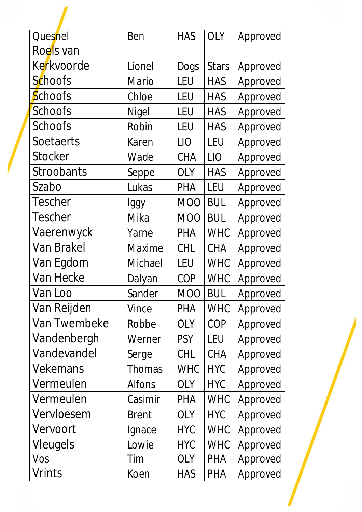| Quesnel           | Ben           | <b>HAS</b> | <b>OLY</b>   | Approved |
|-------------------|---------------|------------|--------------|----------|
| Roels van         |               |            |              |          |
| Kerkvoorde        | Lionel        | Dogs       | <b>Stars</b> | Approved |
| <b>Schoofs</b>    | <b>Mario</b>  | LEU        | <b>HAS</b>   | Approved |
| <b>Schoofs</b>    | Chloe         | <b>LEU</b> | <b>HAS</b>   | Approved |
| <b>Schoofs</b>    | Nigel         | <b>LEU</b> | <b>HAS</b>   | Approved |
| Schoofs           | Robin         | <b>LEU</b> | <b>HAS</b>   | Approved |
| Soetaerts         | Karen         | <b>LIO</b> | LEU          | Approved |
| <b>Stocker</b>    | Wade          | <b>CHA</b> | LIO          | Approved |
| <b>Stroobants</b> | Seppe         | <b>OLY</b> | <b>HAS</b>   | Approved |
| Szabo             | Lukas         | <b>PHA</b> | LEU          | Approved |
| <b>Tescher</b>    | Iggy          | <b>MOO</b> | <b>BUL</b>   | Approved |
| <b>Tescher</b>    | Mika          | <b>MOO</b> | <b>BUL</b>   | Approved |
| Vaerenwyck        | Yarne         | <b>PHA</b> | <b>WHC</b>   | Approved |
| Van Brakel        | Maxime        | <b>CHL</b> | <b>CHA</b>   | Approved |
| Van Egdom         | Michael       | LEU        | <b>WHC</b>   | Approved |
| Van Hecke         | Dalyan        | COP        | <b>WHC</b>   | Approved |
| Van Loo           | Sander        | <b>MOO</b> | <b>BUL</b>   | Approved |
| Van Reijden       | Vince         | <b>PHA</b> | <b>WHC</b>   | Approved |
| Van Twembeke      | Robbe         | <b>OLY</b> | COP          | Approved |
| Vandenbergh       | Werner        | <b>PSY</b> | LEU          | Approved |
| Vandevandel       | Serge         | CHL        | <b>CHA</b>   | Approved |
| <b>Vekemans</b>   | Thomas        | <b>WHC</b> | <b>HYC</b>   | Approved |
| Vermeulen         | <b>Alfons</b> | <b>OLY</b> | <b>HYC</b>   | Approved |
| Vermeulen         | Casimir       | <b>PHA</b> | <b>WHC</b>   | Approved |
| Vervloesem        | <b>Brent</b>  | <b>OLY</b> | <b>HYC</b>   | Approved |
| Vervoort          | Ignace        | <b>HYC</b> | <b>WHC</b>   | Approved |
| <b>Vleugels</b>   | Lowie         | <b>HYC</b> | <b>WHC</b>   | Approved |
| Vos               | Tim           | <b>OLY</b> | <b>PHA</b>   | Approved |
| Vrints            | Koen          | <b>HAS</b> | <b>PHA</b>   | Approved |